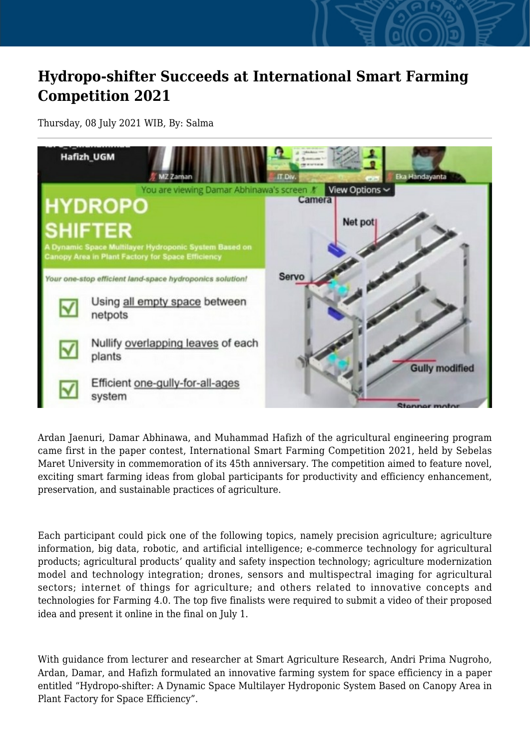## **Hydropo-shifter Succeeds at International Smart Farming Competition 2021**

Thursday, 08 July 2021 WIB, By: Salma



Ardan Jaenuri, Damar Abhinawa, and Muhammad Hafizh of the agricultural engineering program came first in the paper contest, International Smart Farming Competition 2021, held by Sebelas Maret University in commemoration of its 45th anniversary. The competition aimed to feature novel, exciting smart farming ideas from global participants for productivity and efficiency enhancement, preservation, and sustainable practices of agriculture.

Each participant could pick one of the following topics, namely precision agriculture; agriculture information, big data, robotic, and artificial intelligence; e-commerce technology for agricultural products; agricultural products' quality and safety inspection technology; agriculture modernization model and technology integration; drones, sensors and multispectral imaging for agricultural sectors; internet of things for agriculture; and others related to innovative concepts and technologies for Farming 4.0. The top five finalists were required to submit a video of their proposed idea and present it online in the final on July 1.

With guidance from lecturer and researcher at Smart Agriculture Research, Andri Prima Nugroho, Ardan, Damar, and Hafizh formulated an innovative farming system for space efficiency in a paper entitled "Hydropo-shifter: A Dynamic Space Multilayer Hydroponic System Based on Canopy Area in Plant Factory for Space Efficiency".